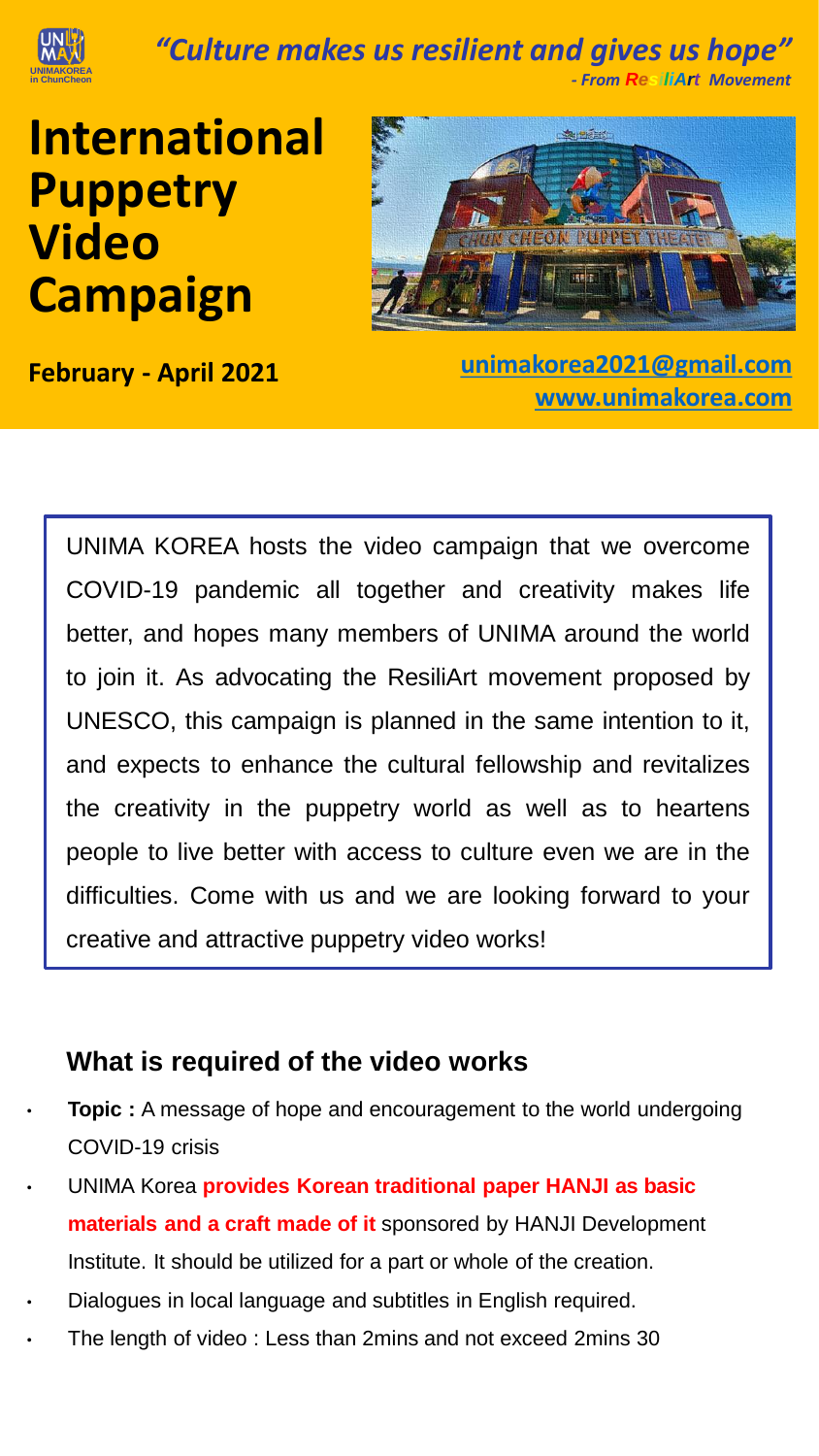

*"Culture makes us resilient and gives us hope"*

 *- From ResiliArt Movement*

International Puppetry The College Campaign Campaign Campaign Campaign Campaign Campaign Campaign Campaign Campaign Campaign Campaign<br>The Campaign Campaign Campaign Campaign Campaign Campaign Campaign Campaign Campaign Campaign Campaign Campaig **International Puppetry Video Campaign**



**February - April 2021 [unimakorea2021@gmail.com](mailto:unimakorea2021@gmail.com) [www.unimakorea.com](http://www.unimakorea.com/)**

UNIMA KOREA hosts the video campaign that we overcome COVID-19 pandemic all together and creativity makes life better, and hopes many members of UNIMA around the world to join it. As advocating the ResiliArt movement proposed by UNESCO, this campaign is planned in the same intention to it, and expects to enhance the cultural fellowship and revitalizes the creativity in the puppetry world as well as to heartens people to live better with access to culture even we are in the difficulties. Come with us and we are looking forward to your creative and attractive puppetry video works!

#### **What is required of the video works**

- **Topic** : A message of hope and encouragement to the world undergoing COVID-19 crisis
- UNIMA Korea **provides Korean traditional paper HANJI as basic materials and a craft made of it** sponsored by HANJI Development Institute. It should be utilized for a part or whole of the creation.
- Dialogues in local language and subtitles in English required.
- The length of video : Less than 2mins and not exceed 2mins 30